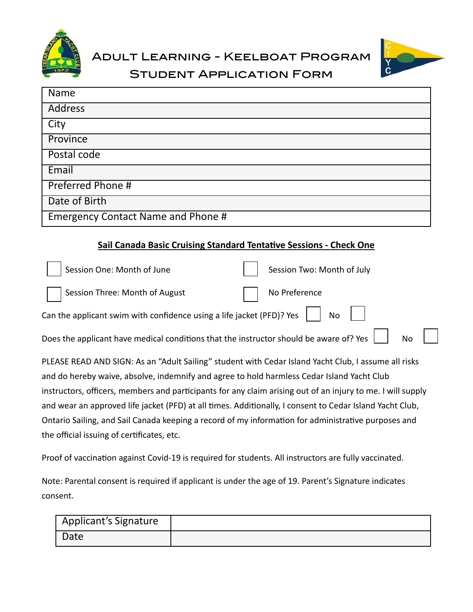



Student Application Form

| <b>Name</b>                               |
|-------------------------------------------|
| <b>Address</b>                            |
| City                                      |
| Province                                  |
| Postal code                               |
| Email                                     |
| Preferred Phone #                         |
| Date of Birth                             |
| <b>Emergency Contact Name and Phone #</b> |

## **Sail Canada Basic Cruising Standard Tentative Sessions - Check One**

| Session One: Month of June                                                             | Session Two: Month of July |
|----------------------------------------------------------------------------------------|----------------------------|
| Session Three: Month of August                                                         | No Preference              |
| Can the applicant swim with confidence using a life jacket (PFD)? Yes $\left  \right $ | <b>No</b>                  |
| Does the applicant have medical conditions that the instructor should be aware of? Yes |                            |
|                                                                                        |                            |

PLEASE READ AND SIGN: As an "Adult Sailing" student with Cedar Island Yacht Club, I assume all risks and do hereby waive, absolve, indemnify and agree to hold harmless Cedar Island Yacht Club instructors, officers, members and participants for any claim arising out of an injury to me. I will supply and wear an approved life jacket (PFD) at all times. Additionally, I consent to Cedar Island Yacht Club, Ontario Sailing, and Sail Canada keeping a record of my information for administrative purposes and the official issuing of certificates, etc.

Proof of vaccination against Covid-19 is required for students. All instructors are fully vaccinated.

Note: Parental consent is required if applicant is under the age of 19. Parent's Signature indicates consent.

| <b>Applicant's Signature</b> |  |
|------------------------------|--|
| Date                         |  |